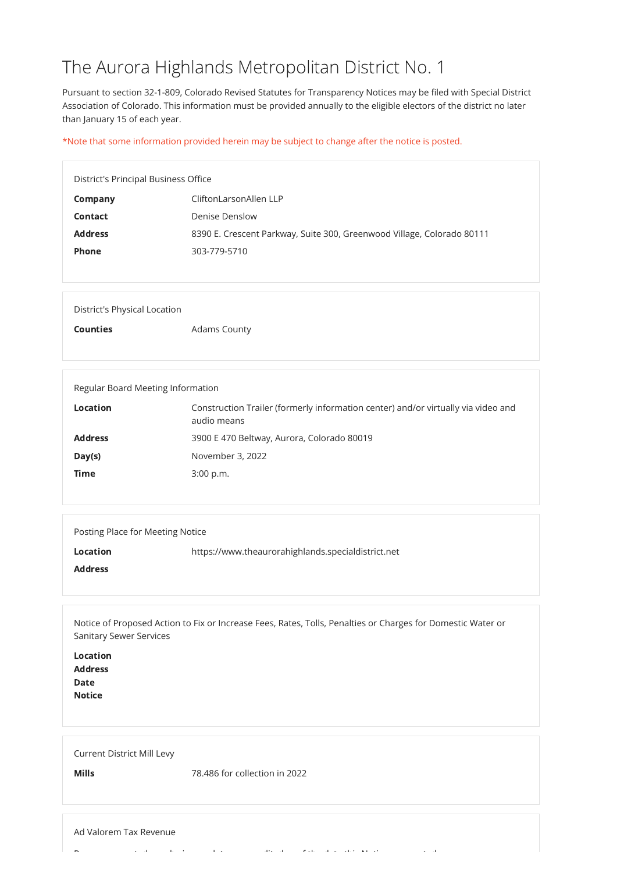## The Aurora Highlands Metropolitan District No. 1

Pursuant to section 32-1-809, Colorado Revised Statutes for Transparency Notices may be filed with Special District Association of Colorado. This information must be provided annually to the eligible electors of the district no later than January 15 of each year.

\*Note that some information provided herein may be subject to change after the notice is posted.

| <b>District's Principal Business Office</b> |                                                                        |
|---------------------------------------------|------------------------------------------------------------------------|
| Company                                     | CliftonLarsonAllen LLP                                                 |
| <b>Contact</b>                              | Denise Denslow                                                         |
| <b>Address</b>                              | 8390 E. Crescent Parkway, Suite 300, Greenwood Village, Colorado 80111 |
| <b>Phone</b>                                | 303-779-5710                                                           |
|                                             |                                                                        |

| District's Physical Location |                     |
|------------------------------|---------------------|
| <b>Counties</b>              | <b>Adams County</b> |

| Regular Board Meeting Information |                                                                                                  |
|-----------------------------------|--------------------------------------------------------------------------------------------------|
| <b>Location</b>                   | Construction Trailer (formerly information center) and/or virtually via video and<br>audio means |
| <b>Address</b>                    | 3900 E 470 Beltway, Aurora, Colorado 80019                                                       |
| Day(s)                            | November 3, 2022                                                                                 |
| <b>Time</b>                       | $3:00$ p.m.                                                                                      |
|                                   |                                                                                                  |

| Posting Place for Meeting Notice |                                                    |
|----------------------------------|----------------------------------------------------|
| <b>Location</b>                  | https://www.theaurorahighlands.specialdistrict.net |
| <b>Address</b>                   |                                                    |
|                                  |                                                    |

Notice of Proposed Action to Fix or Increase Fees, Rates, Tolls, Penalties or Charges for Domestic Water or Sanitary Sewer Services

Location

| <b>Locution</b> |  |  |  |
|-----------------|--|--|--|
| <b>Address</b>  |  |  |  |
| Date<br>Notice  |  |  |  |
|                 |  |  |  |
|                 |  |  |  |
|                 |  |  |  |
|                 |  |  |  |
|                 |  |  |  |

Current District Mill Levy

Mills 78.486 for collection in 2022

## Ad Valorem Tax Revenue

 $R$  that distinguish the distinction of the distinction of the distinction of the distinction of the distinction of the distinction of the distinction of the distinction of the distinction of the distinction of the distin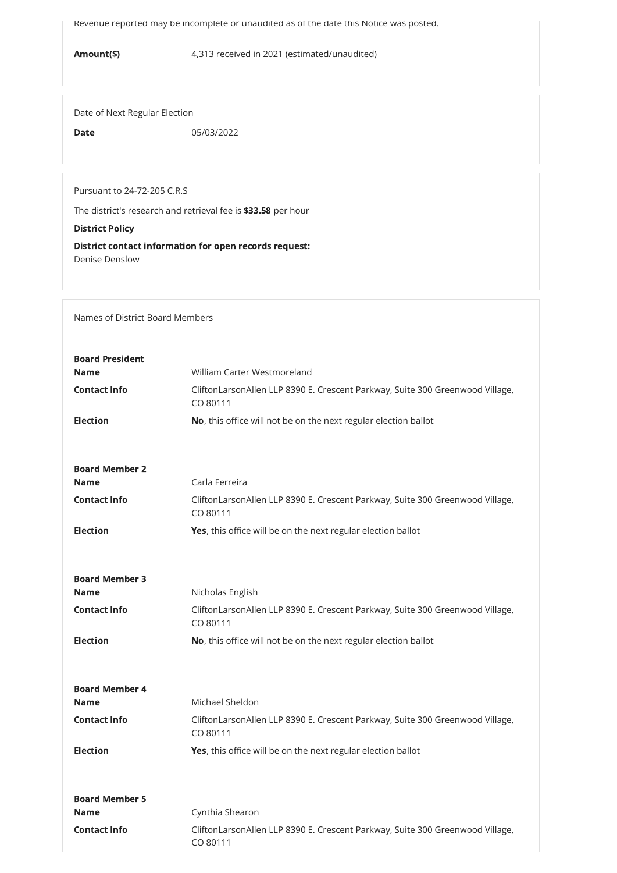Revenue reported may be incomplete or unaudited as of the date this Notice was posted.

Amount(\$) 4,313 received in 2021 (estimated/unaudited)

Date of Next Regular Election

Date 05/03/2022

Pursuant to 24-72-205 C.R.S

The district's research and retrieval fee is \$33.58 per hour

District Policy

District contact information for open records request: Denise Denslow

Names of District Board Members

| <b>Board President</b> |                                                                                           |
|------------------------|-------------------------------------------------------------------------------------------|
| <b>Name</b>            | William Carter Westmoreland                                                               |
| <b>Contact Info</b>    | CliftonLarsonAllen LLP 8390 E. Crescent Parkway, Suite 300 Greenwood Village,<br>CO 80111 |
| <b>Election</b>        | No, this office will not be on the next regular election ballot                           |
|                        |                                                                                           |
|                        |                                                                                           |
| <b>Board Member 2</b>  |                                                                                           |
| <b>Name</b>            | Carla Ferreira                                                                            |
| <b>Contact Info</b>    | CliftonLarsonAllen LLP 8390 E. Crescent Parkway, Suite 300 Greenwood Village,<br>CO 80111 |
| <b>Election</b>        | Yes, this office will be on the next regular election ballot                              |
|                        |                                                                                           |
|                        |                                                                                           |
| <b>Board Member 3</b>  |                                                                                           |
| <b>Name</b>            | Nicholas English                                                                          |
| <b>Contact Info</b>    | CliftonLarsonAllen LLP 8390 E. Crescent Parkway, Suite 300 Greenwood Village,<br>CO 80111 |
| <b>Election</b>        | No, this office will not be on the next regular election ballot                           |

| <b>Board Member 4</b><br><b>Name</b> | Michael Sheldon                                                                           |
|--------------------------------------|-------------------------------------------------------------------------------------------|
| <b>Contact Info</b>                  | CliftonLarsonAllen LLP 8390 E. Crescent Parkway, Suite 300 Greenwood Village,<br>CO 80111 |
| <b>Election</b>                      | <b>Yes</b> , this office will be on the next regular election ballot                      |
| <b>Board Member 5</b>                |                                                                                           |
| <b>Name</b>                          | Cynthia Shearon                                                                           |
| <b>Contact Info</b>                  | CliftonLarsonAllen LLP 8390 E. Crescent Parkway, Suite 300 Greenwood Village,<br>CO 80111 |